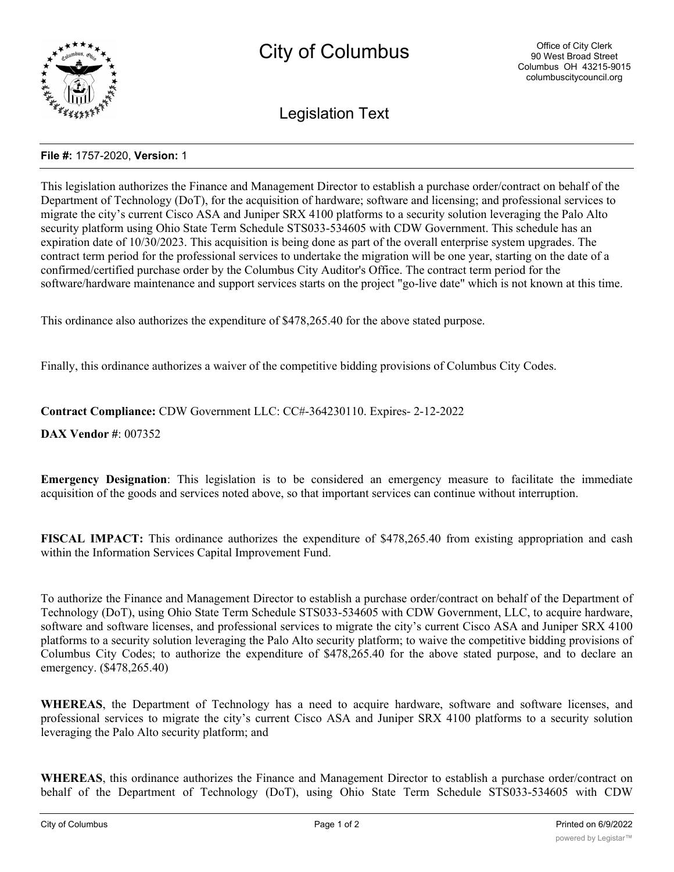

Legislation Text

## **File #:** 1757-2020, **Version:** 1

This legislation authorizes the Finance and Management Director to establish a purchase order/contract on behalf of the Department of Technology (DoT), for the acquisition of hardware; software and licensing; and professional services to migrate the city's current Cisco ASA and Juniper SRX 4100 platforms to a security solution leveraging the Palo Alto security platform using Ohio State Term Schedule STS033-534605 with CDW Government. This schedule has an expiration date of 10/30/2023. This acquisition is being done as part of the overall enterprise system upgrades. The contract term period for the professional services to undertake the migration will be one year, starting on the date of a confirmed/certified purchase order by the Columbus City Auditor's Office. The contract term period for the software/hardware maintenance and support services starts on the project "go-live date" which is not known at this time.

This ordinance also authorizes the expenditure of \$478,265.40 for the above stated purpose.

Finally, this ordinance authorizes a waiver of the competitive bidding provisions of Columbus City Codes.

**Contract Compliance:** CDW Government LLC: CC#-364230110. Expires- 2-12-2022

**DAX Vendor #**: 007352

**Emergency Designation**: This legislation is to be considered an emergency measure to facilitate the immediate acquisition of the goods and services noted above, so that important services can continue without interruption.

**FISCAL IMPACT:** This ordinance authorizes the expenditure of \$478,265.40 from existing appropriation and cash within the Information Services Capital Improvement Fund.

To authorize the Finance and Management Director to establish a purchase order/contract on behalf of the Department of Technology (DoT), using Ohio State Term Schedule STS033-534605 with CDW Government, LLC, to acquire hardware, software and software licenses, and professional services to migrate the city's current Cisco ASA and Juniper SRX 4100 platforms to a security solution leveraging the Palo Alto security platform; to waive the competitive bidding provisions of Columbus City Codes; to authorize the expenditure of \$478,265.40 for the above stated purpose, and to declare an emergency. (\$478,265.40)

**WHEREAS**, the Department of Technology has a need to acquire hardware, software and software licenses, and professional services to migrate the city's current Cisco ASA and Juniper SRX 4100 platforms to a security solution leveraging the Palo Alto security platform; and

**WHEREAS**, this ordinance authorizes the Finance and Management Director to establish a purchase order/contract on behalf of the Department of Technology (DoT), using Ohio State Term Schedule STS033-534605 with CDW